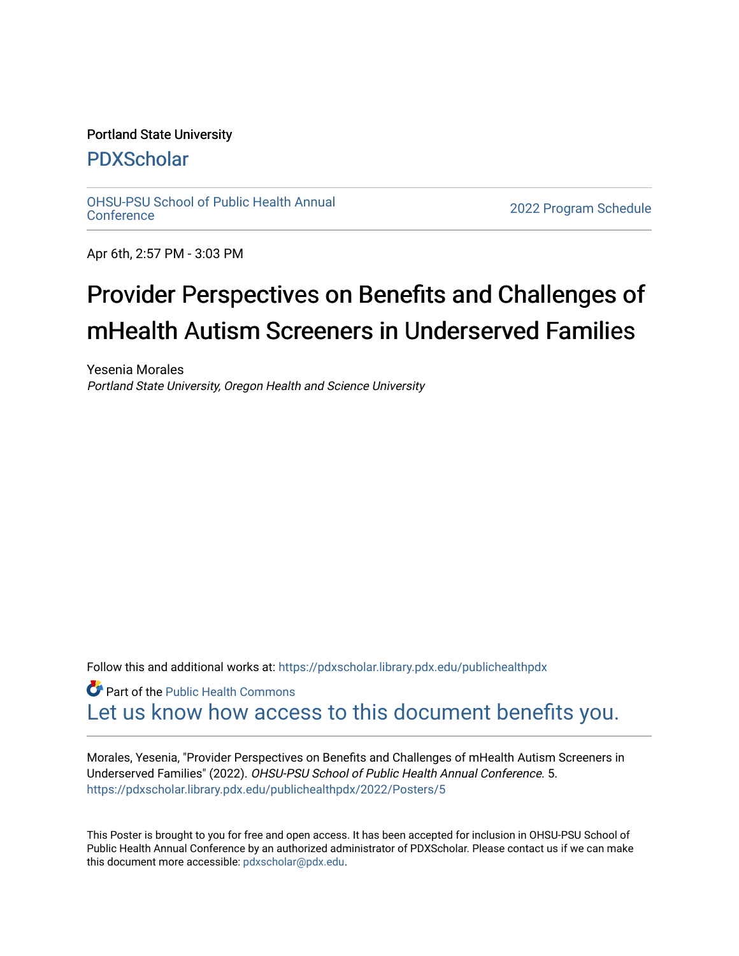## Portland State University

## [PDXScholar](https://pdxscholar.library.pdx.edu/)

[OHSU-PSU School of Public Health Annual](https://pdxscholar.library.pdx.edu/publichealthpdx)

2022 Program Schedule

Apr 6th, 2:57 PM - 3:03 PM

## Provider Perspectives on Benefits and Challenges of mHealth Autism Screeners in Underserved Families

Yesenia Morales Portland State University, Oregon Health and Science University

Follow this and additional works at: https://pdxscholar.library.pdx.edu/publichealthpdx

**C** Part of the Public Health Commons [Let us know how access to this document benefits you.](http://library.pdx.edu/services/pdxscholar-services/pdxscholar-feedback/) 

Morales, Yesenia, "Provider Perspectives on Benefits and Challenges of mHealth Autism Screeners in Underserved Families" (2022). OHSU-PSU School of Public Health Annual Conference. 5. [https://pdxscholar.library.pdx.edu/publichealthpdx/2022/Posters/5](https://pdxscholar.library.pdx.edu/publichealthpdx/2022/Posters/5?utm_source=pdxscholar.library.pdx.edu%2Fpublichealthpdx%2F2022%2FPosters%2F5&utm_medium=PDF&utm_campaign=PDFCoverPages)

This Poster is brought to you for free and open access. It has been accepted for inclusion in OHSU-PSU School of Public Health Annual Conference by an authorized administrator of PDXScholar. Please contact us if we can make this document more accessible: [pdxscholar@pdx.edu.](mailto:pdxscholar@pdx.edu)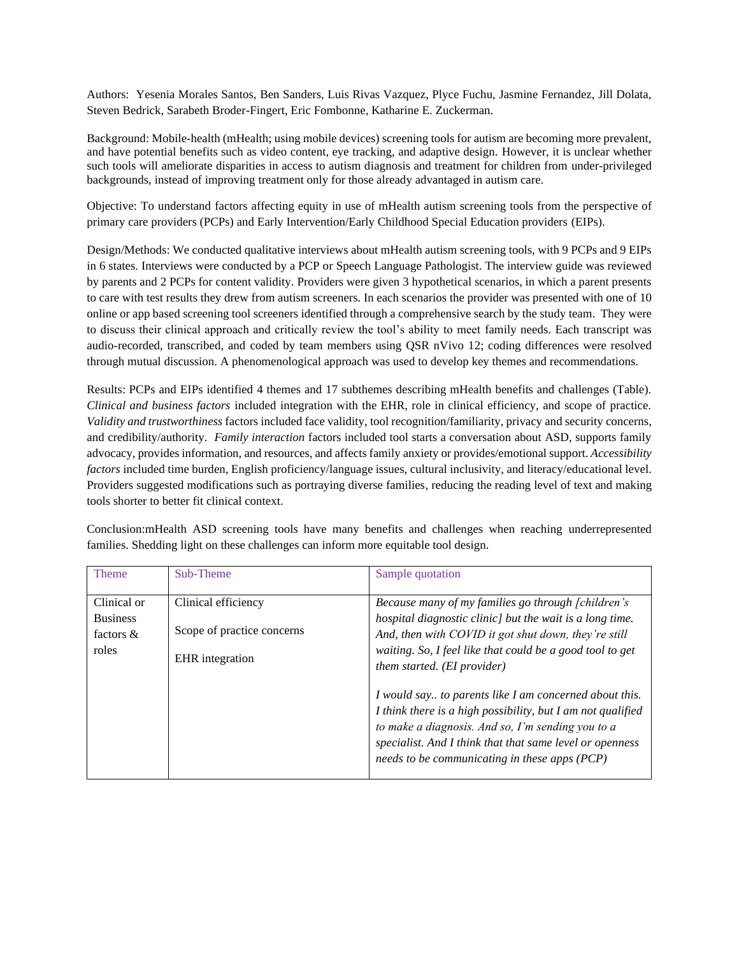Authors: Yesenia Morales Santos, Ben Sanders, Luis Rivas Vazquez, Plyce Fuchu, Jasmine Fernandez, Jill Dolata, Steven Bedrick, Sarabeth Broder-Fingert, Eric Fombonne, Katharine E. Zuckerman.

Background: Mobile-health (mHealth; using mobile devices) screening tools for autism are becoming more prevalent, and have potential benefits such as video content, eye tracking, and adaptive design. However, it is unclear whether such tools will ameliorate disparities in access to autism diagnosis and treatment for children from under-privileged backgrounds, instead of improving treatment only for those already advantaged in autism care.

Objective: To understand factors affecting equity in use of mHealth autism screening tools from the perspective of primary care providers (PCPs) and Early Intervention/Early Childhood Special Education providers (EIPs).

Design/Methods: We conducted qualitative interviews about mHealth autism screening tools, with 9 PCPs and 9 EIPs in 6 states. Interviews were conducted by a PCP or Speech Language Pathologist. The interview guide was reviewed by parents and 2 PCPs for content validity. Providers were given 3 hypothetical scenarios, in which a parent presents to care with test results they drew from autism screeners. In each scenarios the provider was presented with one of 10 online or app based screening tool screeners identified through a comprehensive search by the study team. They were to discuss their clinical approach and critically review the tool's ability to meet family needs. Each transcript was audio-recorded, transcribed, and coded by team members using QSR nVivo 12; coding differences were resolved through mutual discussion. A phenomenological approach was used to develop key themes and recommendations.

Results: PCPs and EIPs identified 4 themes and 17 subthemes describing mHealth benefits and challenges (Table). *Clinical and business factors* included integration with the EHR, role in clinical efficiency, and scope of practice. *Validity and trustworthiness* factors included face validity, tool recognition/familiarity, privacy and security concerns, and credibility/authority. *Family interaction* factors included tool starts a conversation about ASD, supports family advocacy, provides information, and resources, and affects family anxiety or provides/emotional support. *Accessibility factors* included time burden, English proficiency/language issues, cultural inclusivity, and literacy/educational level. Providers suggested modifications such as portraying diverse families, reducing the reading level of text and making tools shorter to better fit clinical context.

| <b>Theme</b>                                            | Sub-Theme                                                            | Sample quotation                                                                                                                                                                                                                                                                                                                                                                                                                                                                                                                                                     |
|---------------------------------------------------------|----------------------------------------------------------------------|----------------------------------------------------------------------------------------------------------------------------------------------------------------------------------------------------------------------------------------------------------------------------------------------------------------------------------------------------------------------------------------------------------------------------------------------------------------------------------------------------------------------------------------------------------------------|
| Clinical or<br><b>Business</b><br>factors $\&$<br>roles | Clinical efficiency<br>Scope of practice concerns<br>EHR integration | Because many of my families go through [children's<br>hospital diagnostic clinic] but the wait is a long time.<br>And, then with COVID it got shut down, they're still<br>waiting. So, I feel like that could be a good tool to get<br><i>them started. (EI provider)</i><br>I would say to parents like I am concerned about this.<br>I think there is a high possibility, but I am not qualified<br>to make a diagnosis. And so, I'm sending you to a<br>specialist. And I think that that same level or openness<br>needs to be communicating in these apps (PCP) |
|                                                         |                                                                      |                                                                                                                                                                                                                                                                                                                                                                                                                                                                                                                                                                      |

Conclusion:mHealth ASD screening tools have many benefits and challenges when reaching underrepresented families. Shedding light on these challenges can inform more equitable tool design.